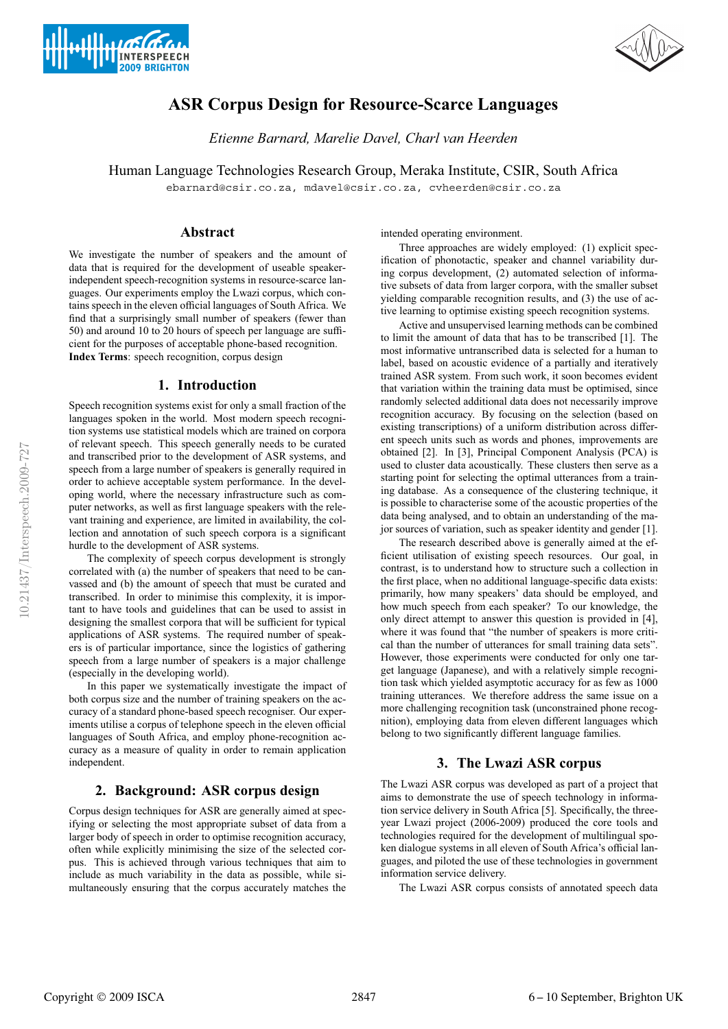



# **ASR Corpus Design for Resource-Scarce Languages**

*Etienne Barnard, Marelie Davel, Charl van Heerden*

Human Language Technologies Research Group, Meraka Institute, CSIR, South Africa

ebarnard@csir.co.za, mdavel@csir.co.za, cvheerden@csir.co.za

## **Abstract**

We investigate the number of speakers and the amount of data that is required for the development of useable speakerindependent speech-recognition systems in resource-scarce languages. Our experiments employ the Lwazi corpus, which contains speech in the eleven official languages of South Africa. We find that a surprisingly small number of speakers (fewer than 50) and around 10 to 20 hours of speech per language are sufficient for the purposes of acceptable phone-based recognition. **Index Terms**: speech recognition, corpus design

## **1. Introduction**

Speech recognition systems exist for only a small fraction of the languages spoken in the world. Most modern speech recognition systems use statistical models which are trained on corpora of relevant speech. This speech generally needs to be curated and transcribed prior to the development of ASR systems, and speech from a large number of speakers is generally required in order to achieve acceptable system performance. In the developing world, where the necessary infrastructure such as computer networks, as well as first language speakers with the relevant training and experience, are limited in availability, the collection and annotation of such speech corpora is a significant hurdle to the development of ASR systems.

The complexity of speech corpus development is strongly correlated with (a) the number of speakers that need to be canvassed and (b) the amount of speech that must be curated and transcribed. In order to minimise this complexity, it is important to have tools and guidelines that can be used to assist in designing the smallest corpora that will be sufficient for typical applications of ASR systems. The required number of speakers is of particular importance, since the logistics of gathering speech from a large number of speakers is a major challenge (especially in the developing world).

In this paper we systematically investigate the impact of both corpus size and the number of training speakers on the accuracy of a standard phone-based speech recogniser. Our experiments utilise a corpus of telephone speech in the eleven official languages of South Africa, and employ phone-recognition accuracy as a measure of quality in order to remain application independent.

# **2. Background: ASR corpus design**

Corpus design techniques for ASR are generally aimed at specifying or selecting the most appropriate subset of data from a larger body of speech in order to optimise recognition accuracy, often while explicitly minimising the size of the selected corpus. This is achieved through various techniques that aim to include as much variability in the data as possible, while simultaneously ensuring that the corpus accurately matches the intended operating environment.

Three approaches are widely employed: (1) explicit specification of phonotactic, speaker and channel variability during corpus development, (2) automated selection of informative subsets of data from larger corpora, with the smaller subset yielding comparable recognition results, and (3) the use of active learning to optimise existing speech recognition systems.

Active and unsupervised learning methods can be combined to limit the amount of data that has to be transcribed [1]. The most informative untranscribed data is selected for a human to label, based on acoustic evidence of a partially and iteratively trained ASR system. From such work, it soon becomes evident that variation within the training data must be optimised, since randomly selected additional data does not necessarily improve recognition accuracy. By focusing on the selection (based on existing transcriptions) of a uniform distribution across different speech units such as words and phones, improvements are obtained [2]. In [3], Principal Component Analysis (PCA) is used to cluster data acoustically. These clusters then serve as a starting point for selecting the optimal utterances from a training database. As a consequence of the clustering technique, it is possible to characterise some of the acoustic properties of the data being analysed, and to obtain an understanding of the major sources of variation, such as speaker identity and gender [1].

The research described above is generally aimed at the efficient utilisation of existing speech resources. Our goal, in contrast, is to understand how to structure such a collection in the first place, when no additional language-specific data exists: primarily, how many speakers' data should be employed, and how much speech from each speaker? To our knowledge, the only direct attempt to answer this question is provided in [4], where it was found that "the number of speakers is more critical than the number of utterances for small training data sets". However, those experiments were conducted for only one target language (Japanese), and with a relatively simple recognition task which yielded asymptotic accuracy for as few as 1000 training utterances. We therefore address the same issue on a more challenging recognition task (unconstrained phone recognition), employing data from eleven different languages which belong to two significantly different language families.

# **3. The Lwazi ASR corpus**

The Lwazi ASR corpus was developed as part of a project that aims to demonstrate the use of speech technology in information service delivery in South Africa [5]. Specifically, the threeyear Lwazi project (2006-2009) produced the core tools and technologies required for the development of multilingual spoken dialogue systems in all eleven of South Africa's official languages, and piloted the use of these technologies in government information service delivery.

The Lwazi ASR corpus consists of annotated speech data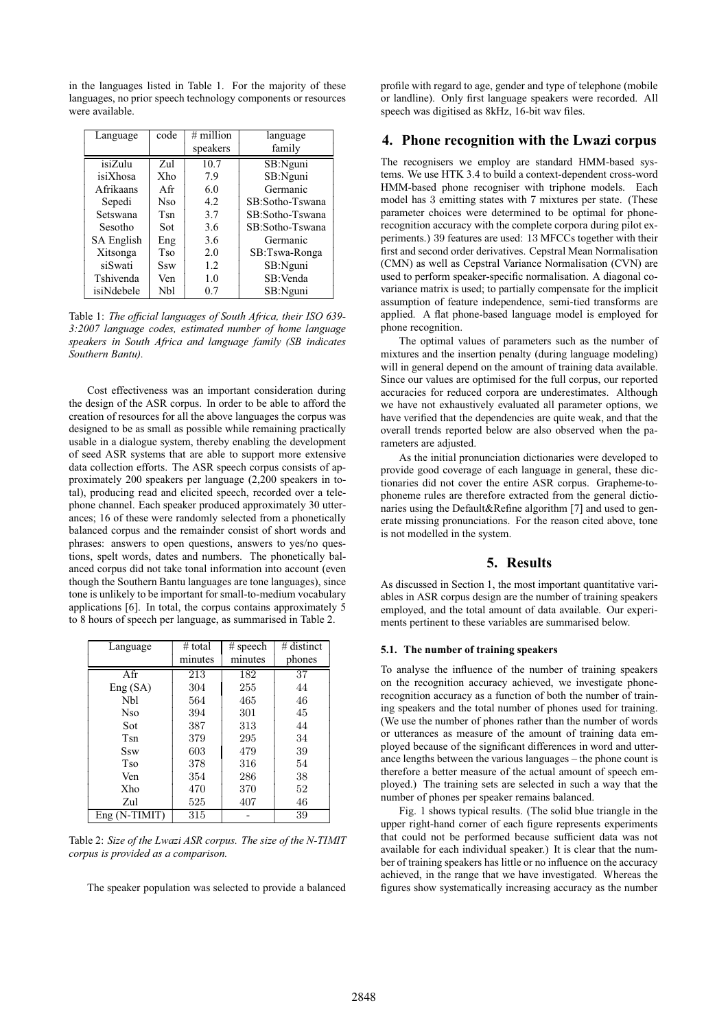in the languages listed in Table 1. For the majority of these languages, no prior speech technology components or resources were available.

| Language         | code | # million | language        |  |
|------------------|------|-----------|-----------------|--|
|                  |      | speakers  | family          |  |
| isiZulu          | Zul  | 10.7      | SB:Nguni        |  |
| isiXhosa         | Xho  | 7.9       | SB:Nguni        |  |
| <b>Afrikaans</b> | Afr  | 6.0       | Germanic        |  |
| Sepedi           | Nso  | 4.2       | SB:Sotho-Tswana |  |
| Setswana         | Tsn  | 3.7       | SB:Sotho-Tswana |  |
| Sesotho          | Sot  | 3.6       | SB:Sotho-Tswana |  |
| SA English       | Eng  | 3.6       | Germanic        |  |
| Xitsonga         | Tso  | 2.0       | SB:Tswa-Ronga   |  |
| siSwati          | Ssw  | 1.2       | SB:Nguni        |  |
| Tshivenda        | Ven  | 1.0       | SB:Venda        |  |
| isiNdebele       | Nbl  | 0.7       | SB:Nguni        |  |

Table 1: *The official languages of South Africa, their ISO 639- 3:2007 language codes, estimated number of home language speakers in South Africa and language family (SB indicates Southern Bantu).*

Cost effectiveness was an important consideration during the design of the ASR corpus. In order to be able to afford the creation of resources for all the above languages the corpus was designed to be as small as possible while remaining practically usable in a dialogue system, thereby enabling the development of seed ASR systems that are able to support more extensive data collection efforts. The ASR speech corpus consists of approximately 200 speakers per language (2,200 speakers in total), producing read and elicited speech, recorded over a telephone channel. Each speaker produced approximately 30 utterances; 16 of these were randomly selected from a phonetically balanced corpus and the remainder consist of short words and phrases: answers to open questions, answers to yes/no questions, spelt words, dates and numbers. The phonetically balanced corpus did not take tonal information into account (even though the Southern Bantu languages are tone languages), since tone is unlikely to be important for small-to-medium vocabulary applications [6]. In total, the corpus contains approximately 5 to 8 hours of speech per language, as summarised in Table 2.

| Language        | # total | $#$ speech | $#$ distinct |
|-----------------|---------|------------|--------------|
|                 | minutes | minutes    | phones       |
| Afr             | 213     | 182        | 37           |
| Eng(SA)         | 304     | 255        | 44           |
| <b>Nbl</b>      | 564     | 465        | 46           |
| <b>Nso</b>      | 394     | 301        | 45           |
| Sot             | 387     | 313        | 44           |
| <b>Tsn</b>      | 379     | 295        | 34           |
| <b>Ssw</b>      | 603     | 479        | 39           |
| Tso             | 378     | 316        | 54           |
| Ven             | 354     | 286        | 38           |
| Xho             | 470     | 370        | 52           |
| Zul             | 525     | 407        | 46           |
| $Eng (N-TIMIT)$ | 315     |            | 39           |

Table 2: *Size of the Lwazi ASR corpus. The size of the N-TIMIT corpus is provided as a comparison.*

The speaker population was selected to provide a balanced

profile with regard to age, gender and type of telephone (mobile or landline). Only first language speakers were recorded. All speech was digitised as 8kHz, 16-bit wav files.

#### **4. Phone recognition with the Lwazi corpus**

The recognisers we employ are standard HMM-based systems. We use HTK 3.4 to build a context-dependent cross-word HMM-based phone recogniser with triphone models. Each model has 3 emitting states with 7 mixtures per state. (These parameter choices were determined to be optimal for phonerecognition accuracy with the complete corpora during pilot experiments.) 39 features are used: 13 MFCCs together with their first and second order derivatives. Cepstral Mean Normalisation (CMN) as well as Cepstral Variance Normalisation (CVN) are used to perform speaker-specific normalisation. A diagonal covariance matrix is used; to partially compensate for the implicit assumption of feature independence, semi-tied transforms are applied. A flat phone-based language model is employed for phone recognition.

The optimal values of parameters such as the number of mixtures and the insertion penalty (during language modeling) will in general depend on the amount of training data available. Since our values are optimised for the full corpus, our reported accuracies for reduced corpora are underestimates. Although we have not exhaustively evaluated all parameter options, we have verified that the dependencies are quite weak, and that the overall trends reported below are also observed when the parameters are adjusted.

As the initial pronunciation dictionaries were developed to provide good coverage of each language in general, these dictionaries did not cover the entire ASR corpus. Grapheme-tophoneme rules are therefore extracted from the general dictionaries using the Default&Refine algorithm [7] and used to generate missing pronunciations. For the reason cited above, tone is not modelled in the system.

## **5. Results**

As discussed in Section 1, the most important quantitative variables in ASR corpus design are the number of training speakers employed, and the total amount of data available. Our experiments pertinent to these variables are summarised below.

#### **5.1. The number of training speakers**

To analyse the influence of the number of training speakers on the recognition accuracy achieved, we investigate phonerecognition accuracy as a function of both the number of training speakers and the total number of phones used for training. (We use the number of phones rather than the number of words or utterances as measure of the amount of training data employed because of the significant differences in word and utterance lengths between the various languages – the phone count is therefore a better measure of the actual amount of speech employed.) The training sets are selected in such a way that the number of phones per speaker remains balanced.

Fig. 1 shows typical results. (The solid blue triangle in the upper right-hand corner of each figure represents experiments that could not be performed because sufficient data was not available for each individual speaker.) It is clear that the number of training speakers has little or no influence on the accuracy achieved, in the range that we have investigated. Whereas the figures show systematically increasing accuracy as the number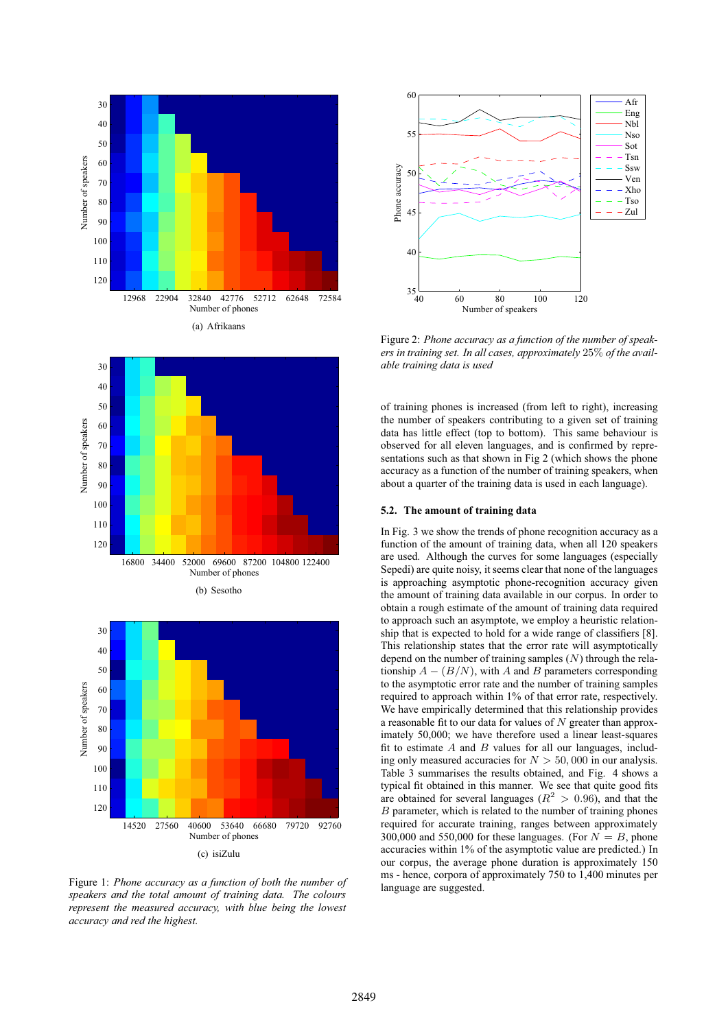





Figure 1: *Phone accuracy as a function of both the number of speakers and the total amount of training data. The colours represent the measured accuracy, with blue being the lowest accuracy and red the highest.*



Figure 2: *Phone accuracy as a function of the number of speakers in training set. In all cases, approximately* 25% *of the available training data is used*

of training phones is increased (from left to right), increasing the number of speakers contributing to a given set of training data has little effect (top to bottom). This same behaviour is observed for all eleven languages, and is confirmed by representations such as that shown in Fig 2 (which shows the phone accuracy as a function of the number of training speakers, when about a quarter of the training data is used in each language).

#### **5.2. The amount of training data**

In Fig. 3 we show the trends of phone recognition accuracy as a function of the amount of training data, when all 120 speakers are used. Although the curves for some languages (especially Sepedi) are quite noisy, it seems clear that none of the languages is approaching asymptotic phone-recognition accuracy given the amount of training data available in our corpus. In order to obtain a rough estimate of the amount of training data required to approach such an asymptote, we employ a heuristic relationship that is expected to hold for a wide range of classifiers [8]. This relationship states that the error rate will asymptotically depend on the number of training samples  $(N)$  through the relationship  $A - (B/N)$ , with A and B parameters corresponding to the asymptotic error rate and the number of training samples required to approach within 1% of that error rate, respectively. We have empirically determined that this relationship provides a reasonable fit to our data for values of  $N$  greater than approximately 50,000; we have therefore used a linear least-squares fit to estimate  $A$  and  $B$  values for all our languages, including only measured accuracies for  $N > 50,000$  in our analysis. Table 3 summarises the results obtained, and Fig. 4 shows a typical fit obtained in this manner. We see that quite good fits are obtained for several languages ( $R^2 > 0.96$ ), and that the B parameter, which is related to the number of training phones required for accurate training, ranges between approximately 300,000 and 550,000 for these languages. (For  $N = B$ , phone accuracies within 1% of the asymptotic value are predicted.) In our corpus, the average phone duration is approximately 150 ms - hence, corpora of approximately 750 to 1,400 minutes per language are suggested.